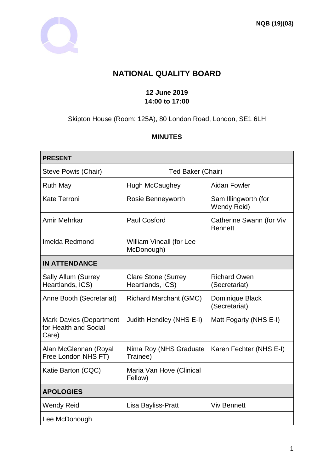

# **NATIONAL QUALITY BOARD**

### **12 June 2019 14:00 to 17:00**

Skipton House (Room: 125A), 80 London Road, London, SE1 6LH

### **MINUTES**

| <b>PRESENT</b>                                                   |                                                |                   |                                            |
|------------------------------------------------------------------|------------------------------------------------|-------------------|--------------------------------------------|
| Steve Powis (Chair)                                              |                                                | Ted Baker (Chair) |                                            |
| <b>Ruth May</b>                                                  | <b>Hugh McCaughey</b>                          |                   | <b>Aidan Fowler</b>                        |
| <b>Kate Terroni</b>                                              | Rosie Benneyworth                              |                   | Sam Illingworth (for<br>Wendy Reid)        |
| Amir Mehrkar                                                     | <b>Paul Cosford</b>                            |                   | Catherine Swann (for Viv<br><b>Bennett</b> |
| Imelda Redmond                                                   | <b>William Vineall (for Lee</b><br>McDonough)  |                   |                                            |
| <b>IN ATTENDANCE</b>                                             |                                                |                   |                                            |
| <b>Sally Allum (Surrey</b><br>Heartlands, ICS)                   | <b>Clare Stone (Surrey</b><br>Heartlands, ICS) |                   | <b>Richard Owen</b><br>(Secretariat)       |
| Anne Booth (Secretariat)                                         | <b>Richard Marchant (GMC)</b>                  |                   | Dominique Black<br>(Secretariat)           |
| <b>Mark Davies (Department</b><br>for Health and Social<br>Care) | Judith Hendley (NHS E-I)                       |                   | Matt Fogarty (NHS E-I)                     |
| Alan McGlennan (Royal<br>Free London NHS FT)                     | Nima Roy (NHS Graduate<br>Trainee)             |                   | Karen Fechter (NHS E-I)                    |
| Katie Barton (CQC)                                               | Maria Van Hove (Clinical<br>Fellow)            |                   |                                            |
| <b>APOLOGIES</b>                                                 |                                                |                   |                                            |
| <b>Wendy Reid</b>                                                | Lisa Bayliss-Pratt                             |                   | <b>Viv Bennett</b>                         |
| Lee McDonough                                                    |                                                |                   |                                            |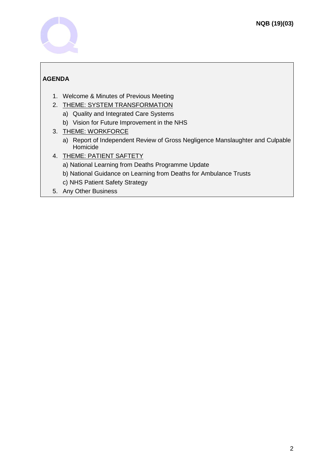

## **AGENDA**

- 1. Welcome & Minutes of Previous Meeting
- 2. THEME: SYSTEM TRANSFORMATION
	- a) Quality and Integrated Care Systems
	- b) Vision for Future Improvement in the NHS
- 3. THEME: WORKFORCE
	- a) Report of Independent Review of Gross Negligence Manslaughter and Culpable Homicide
- 4. THEME: PATIENT SAFTETY
	- a) National Learning from Deaths Programme Update
	- b) National Guidance on Learning from Deaths for Ambulance Trusts
	- c) NHS Patient Safety Strategy
- 5. Any Other Business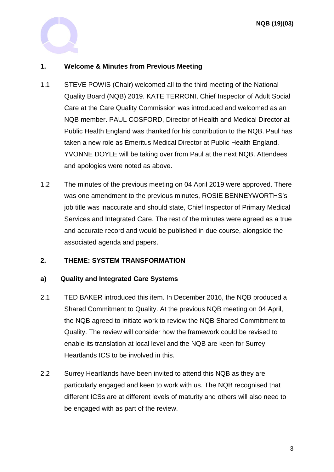

### **1. Welcome & Minutes from Previous Meeting**

- 1.1 STEVE POWIS (Chair) welcomed all to the third meeting of the National Quality Board (NQB) 2019. KATE TERRONI, Chief Inspector of Adult Social Care at the Care Quality Commission was introduced and welcomed as an NQB member. PAUL COSFORD, Director of Health and Medical Director at Public Health England was thanked for his contribution to the NQB. Paul has taken a new role as Emeritus Medical Director at Public Health England. YVONNE DOYLE will be taking over from Paul at the next NQB. Attendees and apologies were noted as above.
- 1.2 The minutes of the previous meeting on 04 April 2019 were approved. There was one amendment to the previous minutes, ROSIE BENNEYWORTHS's job title was inaccurate and should state, Chief Inspector of Primary Medical Services and Integrated Care. The rest of the minutes were agreed as a true and accurate record and would be published in due course, alongside the associated agenda and papers.

### **2. THEME: SYSTEM TRANSFORMATION**

### **a) Quality and Integrated Care Systems**

- 2.1 TED BAKER introduced this item. In December 2016, the NQB produced a Shared Commitment to Quality. At the previous NQB meeting on 04 April, the NQB agreed to initiate work to review the NQB Shared Commitment to Quality. The review will consider how the framework could be revised to enable its translation at local level and the NQB are keen for Surrey Heartlands ICS to be involved in this.
- 2.2 Surrey Heartlands have been invited to attend this NQB as they are particularly engaged and keen to work with us. The NQB recognised that different ICSs are at different levels of maturity and others will also need to be engaged with as part of the review.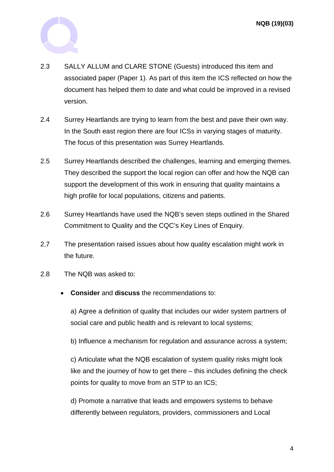

- 2.3 SALLY ALLUM and CLARE STONE (Guests) introduced this item and associated paper (Paper 1). As part of this item the ICS reflected on how the document has helped them to date and what could be improved in a revised version.
- 2.4 Surrey Heartlands are trying to learn from the best and pave their own way. In the South east region there are four ICSs in varying stages of maturity. The focus of this presentation was Surrey Heartlands.
- 2.5 Surrey Heartlands described the challenges, learning and emerging themes. They described the support the local region can offer and how the NQB can support the development of this work in ensuring that quality maintains a high profile for local populations, citizens and patients.
- 2.6 Surrey Heartlands have used the NQB's seven steps outlined in the Shared Commitment to Quality and the CQC's Key Lines of Enquiry.
- 2.7 The presentation raised issues about how quality escalation might work in the future.
- 2.8 The NQB was asked to:
	- **Consider** and **discuss** the recommendations to:

a) Agree a definition of quality that includes our wider system partners of social care and public health and is relevant to local systems;

b) Influence a mechanism for regulation and assurance across a system;

c) Articulate what the NQB escalation of system quality risks might look like and the journey of how to get there – this includes defining the check points for quality to move from an STP to an ICS;

d) Promote a narrative that leads and empowers systems to behave differently between regulators, providers, commissioners and Local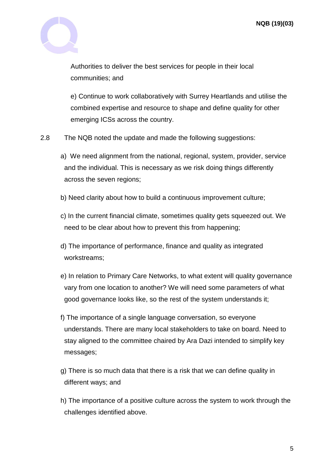

Authorities to deliver the best services for people in their local communities; and

e) Continue to work collaboratively with Surrey Heartlands and utilise the combined expertise and resource to shape and define quality for other emerging ICSs across the country.

- 2.8 The NQB noted the update and made the following suggestions:
	- a) We need alignment from the national, regional, system, provider, service and the individual. This is necessary as we risk doing things differently across the seven regions;
	- b) Need clarity about how to build a continuous improvement culture;
	- c) In the current financial climate, sometimes quality gets squeezed out. We need to be clear about how to prevent this from happening;
	- d) The importance of performance, finance and quality as integrated workstreams;
	- e) In relation to Primary Care Networks, to what extent will quality governance vary from one location to another? We will need some parameters of what good governance looks like, so the rest of the system understands it;
	- f) The importance of a single language conversation, so everyone understands. There are many local stakeholders to take on board. Need to stay aligned to the committee chaired by Ara Dazi intended to simplify key messages;
	- g) There is so much data that there is a risk that we can define quality in different ways; and
	- h) The importance of a positive culture across the system to work through the challenges identified above.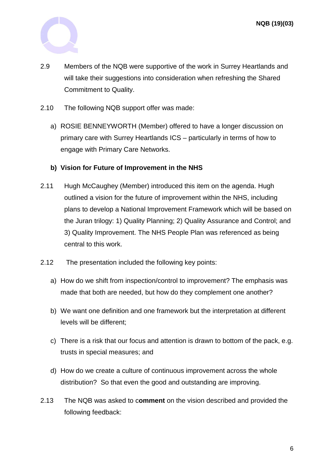

- 2.9 Members of the NQB were supportive of the work in Surrey Heartlands and will take their suggestions into consideration when refreshing the Shared Commitment to Quality.
- 2.10 The following NQB support offer was made:
	- a) ROSIE BENNEYWORTH (Member) offered to have a longer discussion on primary care with Surrey Heartlands ICS – particularly in terms of how to engage with Primary Care Networks.

#### **b) Vision for Future of Improvement in the NHS**

- 2.11 Hugh McCaughey (Member) introduced this item on the agenda. Hugh outlined a vision for the future of improvement within the NHS, including plans to develop a National Improvement Framework which will be based on the Juran trilogy: 1) Quality Planning; 2) Quality Assurance and Control; and 3) Quality Improvement. The NHS People Plan was referenced as being central to this work.
- 2.12 The presentation included the following key points:
	- a) How do we shift from inspection/control to improvement? The emphasis was made that both are needed, but how do they complement one another?
	- b) We want one definition and one framework but the interpretation at different levels will be different;
	- c) There is a risk that our focus and attention is drawn to bottom of the pack, e.g. trusts in special measures; and
	- d) How do we create a culture of continuous improvement across the whole distribution? So that even the good and outstanding are improving.
- 2.13 The NQB was asked to c**omment** on the vision described and provided the following feedback: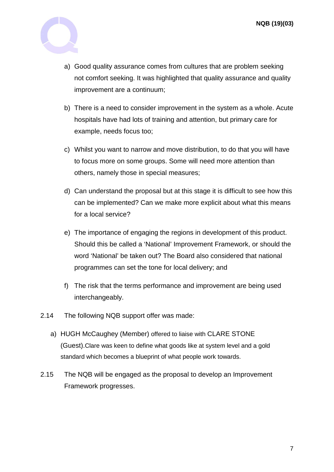

- a) Good quality assurance comes from cultures that are problem seeking not comfort seeking. It was highlighted that quality assurance and quality improvement are a continuum;
- b) There is a need to consider improvement in the system as a whole. Acute hospitals have had lots of training and attention, but primary care for example, needs focus too;
- c) Whilst you want to narrow and move distribution, to do that you will have to focus more on some groups. Some will need more attention than others, namely those in special measures;
- d) Can understand the proposal but at this stage it is difficult to see how this can be implemented? Can we make more explicit about what this means for a local service?
- e) The importance of engaging the regions in development of this product. Should this be called a 'National' Improvement Framework, or should the word 'National' be taken out? The Board also considered that national programmes can set the tone for local delivery; and
- f) The risk that the terms performance and improvement are being used interchangeably.
- 2.14 The following NQB support offer was made:
	- a) HUGH McCaughey (Member) offered to liaise with CLARE STONE (Guest).Clare was keen to define what goods like at system level and a gold standard which becomes a blueprint of what people work towards.
- 2.15 The NQB will be engaged as the proposal to develop an Improvement Framework progresses.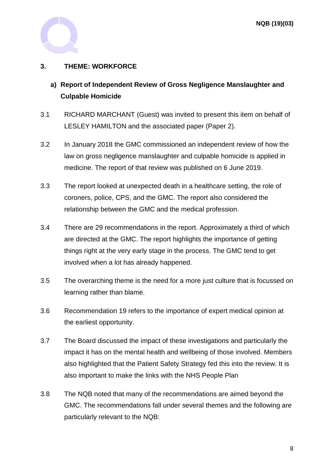

### **3. THEME: WORKFORCE**

- **a) Report of Independent Review of Gross Negligence Manslaughter and Culpable Homicide**
- 3.1 RICHARD MARCHANT (Guest) was invited to present this item on behalf of LESLEY HAMILTON and the associated paper (Paper 2).
- 3.2 In January 2018 the GMC commissioned an independent review of how the law on gross negligence manslaughter and culpable homicide is applied in medicine. The report of that review was published on 6 June 2019.
- 3.3 The report looked at unexpected death in a healthcare setting, the role of coroners, police, CPS, and the GMC. The report also considered the relationship between the GMC and the medical profession.
- 3.4 There are 29 recommendations in the report. Approximately a third of which are directed at the GMC. The report highlights the importance of getting things right at the very early stage in the process. The GMC tend to get involved when a lot has already happened.
- 3.5 The overarching theme is the need for a more just culture that is focussed on learning rather than blame.
- 3.6 Recommendation 19 refers to the importance of expert medical opinion at the earliest opportunity.
- 3.7 The Board discussed the impact of these investigations and particularly the impact it has on the mental health and wellbeing of those involved. Members also highlighted that the Patient Safety Strategy fed this into the review. It is also important to make the links with the NHS People Plan
- 3.8 The NQB noted that many of the recommendations are aimed beyond the GMC. The recommendations fall under several themes and the following are particularly relevant to the NQB: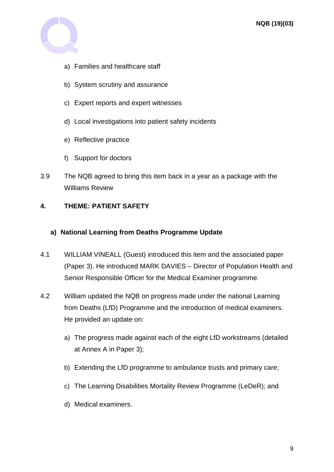

- a) Families and healthcare staff
- b) System scrutiny and assurance
- c) Expert reports and expert witnesses
- d) Local investigations into patient safety incidents
- e) Reflective practice
- f) Support for doctors
- 3.9 The NQB agreed to bring this item back in a year as a package with the Williams Review

### **4. THEME: PATIENT SAFETY**

### **a) National Learning from Deaths Programme Update**

- 4.1 WILLIAM VINEALL (Guest) introduced this item and the associated paper (Paper 3). He introduced MARK DAVIES – Director of Population Health and Senior Responsible Officer for the Medical Examiner programme.
- 4.2 William updated the NQB on progress made under the national Learning from Deaths (LfD) Programme and the introduction of medical examiners. He provided an update on:
	- a) The progress made against each of the eight LfD workstreams (detailed at Annex A in Paper 3);
	- b) Extending the LfD programme to ambulance trusts and primary care;
	- c) The Learning Disabilities Mortality Review Programme (LeDeR); and
	- d) Medical examiners.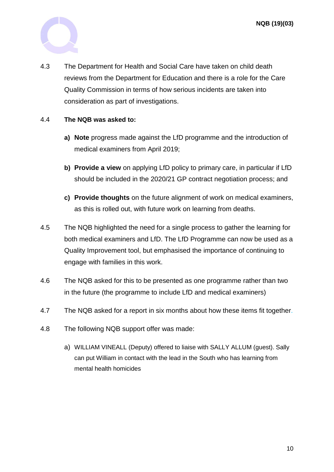**NQB (19)(03)**



4.3 The Department for Health and Social Care have taken on child death reviews from the Department for Education and there is a role for the Care Quality Commission in terms of how serious incidents are taken into consideration as part of investigations.

#### 4.4 **The NQB was asked to:**

- **a) Note** progress made against the LfD programme and the introduction of medical examiners from April 2019;
- **b) Provide a view** on applying LfD policy to primary care, in particular if LfD should be included in the 2020/21 GP contract negotiation process; and
- **c) Provide thoughts** on the future alignment of work on medical examiners, as this is rolled out, with future work on learning from deaths.
- 4.5 The NQB highlighted the need for a single process to gather the learning for both medical examiners and LfD. The LfD Programme can now be used as a Quality Improvement tool, but emphasised the importance of continuing to engage with families in this work.
- 4.6 The NQB asked for this to be presented as one programme rather than two in the future (the programme to include LfD and medical examiners)
- 4.7 The NQB asked for a report in six months about how these items fit together.
- 4.8 The following NQB support offer was made:
	- a) WILLIAM VINEALL (Deputy) offered to liaise with SALLY ALLUM (guest). Sally can put William in contact with the lead in the South who has learning from mental health homicides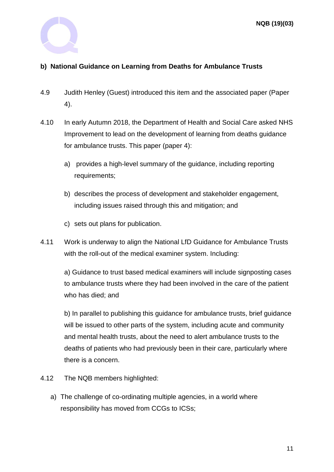

### **b) National Guidance on Learning from Deaths for Ambulance Trusts**

- 4.9 Judith Henley (Guest) introduced this item and the associated paper (Paper 4).
- 4.10 In early Autumn 2018, the Department of Health and Social Care asked NHS Improvement to lead on the development of learning from deaths guidance for ambulance trusts. This paper (paper 4):
	- a) provides a high-level summary of the guidance, including reporting requirements;
	- b) describes the process of development and stakeholder engagement, including issues raised through this and mitigation; and
	- c) sets out plans for publication.
- 4.11 Work is underway to align the National LfD Guidance for Ambulance Trusts with the roll-out of the medical examiner system. Including:

a) Guidance to trust based medical examiners will include signposting cases to ambulance trusts where they had been involved in the care of the patient who has died; and

b) In parallel to publishing this guidance for ambulance trusts, brief guidance will be issued to other parts of the system, including acute and community and mental health trusts, about the need to alert ambulance trusts to the deaths of patients who had previously been in their care, particularly where there is a concern.

- 4.12 The NQB members highlighted:
	- a) The challenge of co-ordinating multiple agencies, in a world where responsibility has moved from CCGs to ICSs;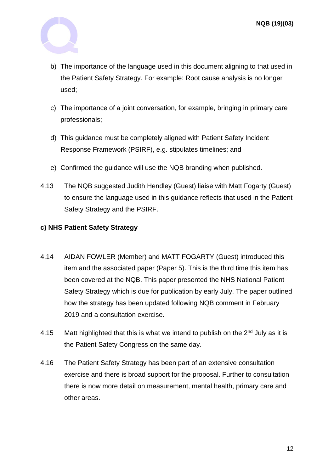

- b) The importance of the language used in this document aligning to that used in the Patient Safety Strategy. For example: Root cause analysis is no longer used;
- c) The importance of a joint conversation, for example, bringing in primary care professionals;
- d) This guidance must be completely aligned with Patient Safety Incident Response Framework (PSIRF), e.g. stipulates timelines; and
- e) Confirmed the guidance will use the NQB branding when published.
- 4.13 The NQB suggested Judith Hendley (Guest) liaise with Matt Fogarty (Guest) to ensure the language used in this guidance reflects that used in the Patient Safety Strategy and the PSIRF.

#### **c) NHS Patient Safety Strategy**

- 4.14 AIDAN FOWLER (Member) and MATT FOGARTY (Guest) introduced this item and the associated paper (Paper 5). This is the third time this item has been covered at the NQB. This paper presented the NHS National Patient Safety Strategy which is due for publication by early July. The paper outlined how the strategy has been updated following NQB comment in February 2019 and a consultation exercise.
- 4.15 Matt highlighted that this is what we intend to publish on the  $2<sup>nd</sup>$  July as it is the Patient Safety Congress on the same day.
- 4.16 The Patient Safety Strategy has been part of an extensive consultation exercise and there is broad support for the proposal. Further to consultation there is now more detail on measurement, mental health, primary care and other areas.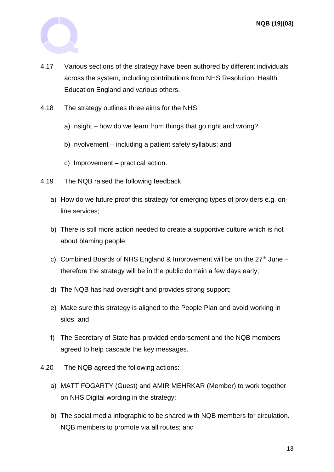

- 4.17 Various sections of the strategy have been authored by different individuals across the system, including contributions from NHS Resolution, Health Education England and various others.
- 4.18 The strategy outlines three aims for the NHS:
	- a) Insight how do we learn from things that go right and wrong?
	- b) Involvement including a patient safety syllabus; and
	- c) Improvement practical action.
- 4.19 The NQB raised the following feedback:
	- a) How do we future proof this strategy for emerging types of providers e.g. online services;
	- b) There is still more action needed to create a supportive culture which is not about blaming people;
	- c) Combined Boards of NHS England & Improvement will be on the  $27<sup>th</sup>$  June therefore the strategy will be in the public domain a few days early;
	- d) The NQB has had oversight and provides strong support;
	- e) Make sure this strategy is aligned to the People Plan and avoid working in silos; and
	- f) The Secretary of State has provided endorsement and the NQB members agreed to help cascade the key messages.
- 4.20 The NQB agreed the following actions:
	- a) MATT FOGARTY (Guest) and AMIR MEHRKAR (Member) to work together on NHS Digital wording in the strategy;
	- b) The social media infographic to be shared with NQB members for circulation. NQB members to promote via all routes; and